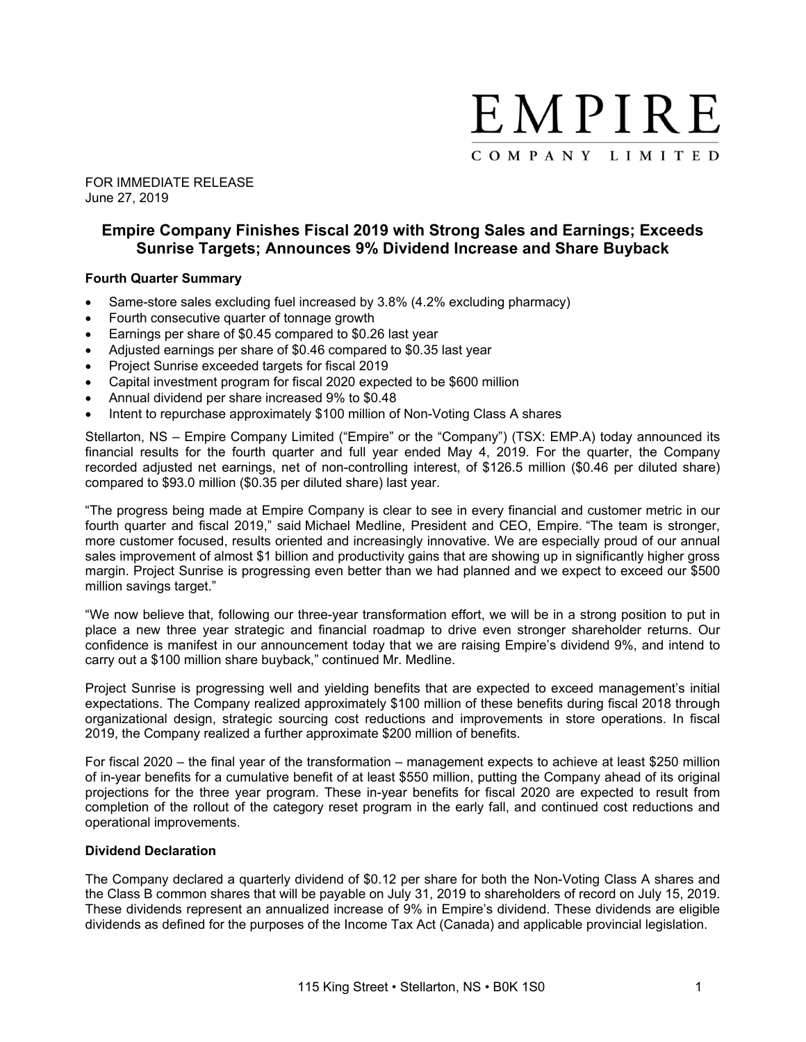

FOR IMMEDIATE RELEASE June 27, 2019

# **Empire Company Finishes Fiscal 2019 with Strong Sales and Earnings; Exceeds Sunrise Targets; Announces 9% Dividend Increase and Share Buyback**

## **Fourth Quarter Summary**

- Same-store sales excluding fuel increased by 3.8% (4.2% excluding pharmacy)
- Fourth consecutive quarter of tonnage growth
- Earnings per share of \$0.45 compared to \$0.26 last year
- Adjusted earnings per share of \$0.46 compared to \$0.35 last year
- Project Sunrise exceeded targets for fiscal 2019
- Capital investment program for fiscal 2020 expected to be \$600 million
- Annual dividend per share increased 9% to \$0.48
- Intent to repurchase approximately \$100 million of Non-Voting Class A shares

Stellarton, NS – Empire Company Limited ("Empire" or the "Company") (TSX: EMP.A) today announced its financial results for the fourth quarter and full year ended May 4, 2019. For the quarter, the Company recorded adjusted net earnings, net of non-controlling interest, of \$126.5 million (\$0.46 per diluted share) compared to \$93.0 million (\$0.35 per diluted share) last year.

"The progress being made at Empire Company is clear to see in every financial and customer metric in our fourth quarter and fiscal 2019," said Michael Medline, President and CEO, Empire. "The team is stronger, more customer focused, results oriented and increasingly innovative. We are especially proud of our annual sales improvement of almost \$1 billion and productivity gains that are showing up in significantly higher gross margin. Project Sunrise is progressing even better than we had planned and we expect to exceed our \$500 million savings target."

"We now believe that, following our three-year transformation effort, we will be in a strong position to put in place a new three year strategic and financial roadmap to drive even stronger shareholder returns. Our confidence is manifest in our announcement today that we are raising Empire's dividend 9%, and intend to carry out a \$100 million share buyback," continued Mr. Medline.

Project Sunrise is progressing well and yielding benefits that are expected to exceed management's initial expectations. The Company realized approximately \$100 million of these benefits during fiscal 2018 through organizational design, strategic sourcing cost reductions and improvements in store operations. In fiscal 2019, the Company realized a further approximate \$200 million of benefits.

For fiscal 2020 – the final year of the transformation – management expects to achieve at least \$250 million of in-year benefits for a cumulative benefit of at least \$550 million, putting the Company ahead of its original projections for the three year program. These in-year benefits for fiscal 2020 are expected to result from completion of the rollout of the category reset program in the early fall, and continued cost reductions and operational improvements.

#### **Dividend Declaration**

The Company declared a quarterly dividend of \$0.12 per share for both the Non-Voting Class A shares and the Class B common shares that will be payable on July 31, 2019 to shareholders of record on July 15, 2019. These dividends represent an annualized increase of 9% in Empire's dividend. These dividends are eligible dividends as defined for the purposes of the Income Tax Act (Canada) and applicable provincial legislation.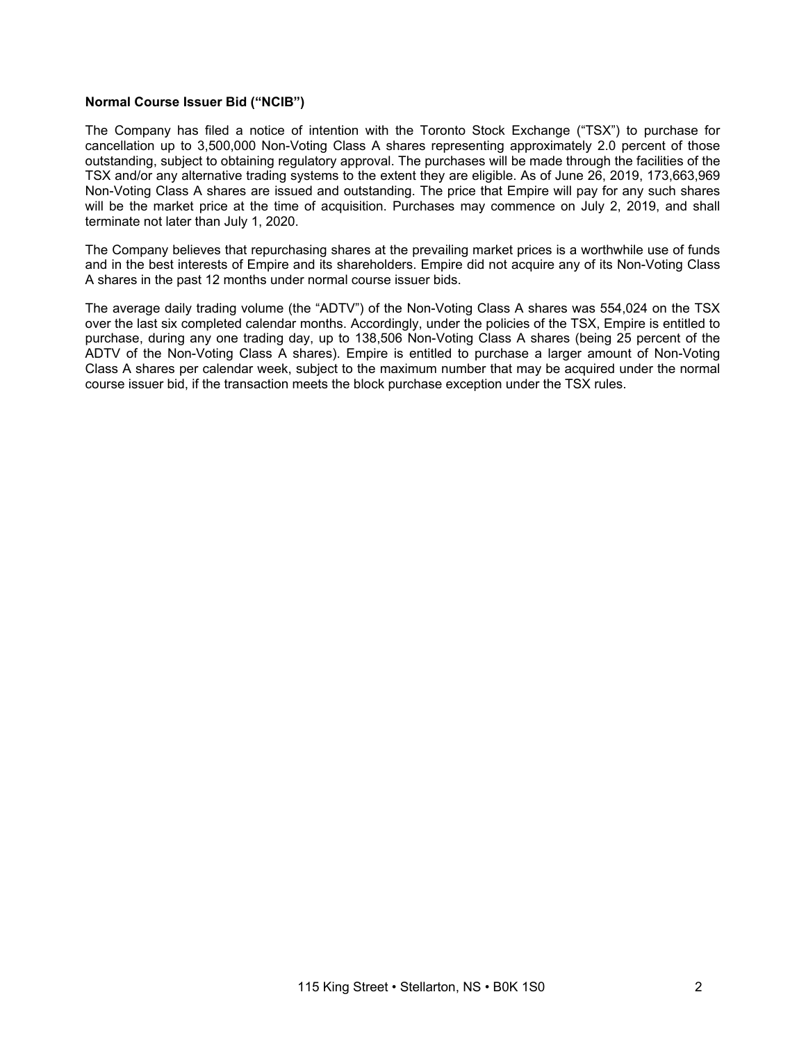## **Normal Course Issuer Bid ("NCIB")**

The Company has filed a notice of intention with the Toronto Stock Exchange ("TSX") to purchase for cancellation up to 3,500,000 Non-Voting Class A shares representing approximately 2.0 percent of those outstanding, subject to obtaining regulatory approval. The purchases will be made through the facilities of the TSX and/or any alternative trading systems to the extent they are eligible. As of June 26, 2019, 173,663,969 Non-Voting Class A shares are issued and outstanding. The price that Empire will pay for any such shares will be the market price at the time of acquisition. Purchases may commence on July 2, 2019, and shall terminate not later than July 1, 2020.

The Company believes that repurchasing shares at the prevailing market prices is a worthwhile use of funds and in the best interests of Empire and its shareholders. Empire did not acquire any of its Non-Voting Class A shares in the past 12 months under normal course issuer bids.

The average daily trading volume (the "ADTV") of the Non-Voting Class A shares was 554,024 on the TSX over the last six completed calendar months. Accordingly, under the policies of the TSX, Empire is entitled to purchase, during any one trading day, up to 138,506 Non-Voting Class A shares (being 25 percent of the ADTV of the Non-Voting Class A shares). Empire is entitled to purchase a larger amount of Non-Voting Class A shares per calendar week, subject to the maximum number that may be acquired under the normal course issuer bid, if the transaction meets the block purchase exception under the TSX rules.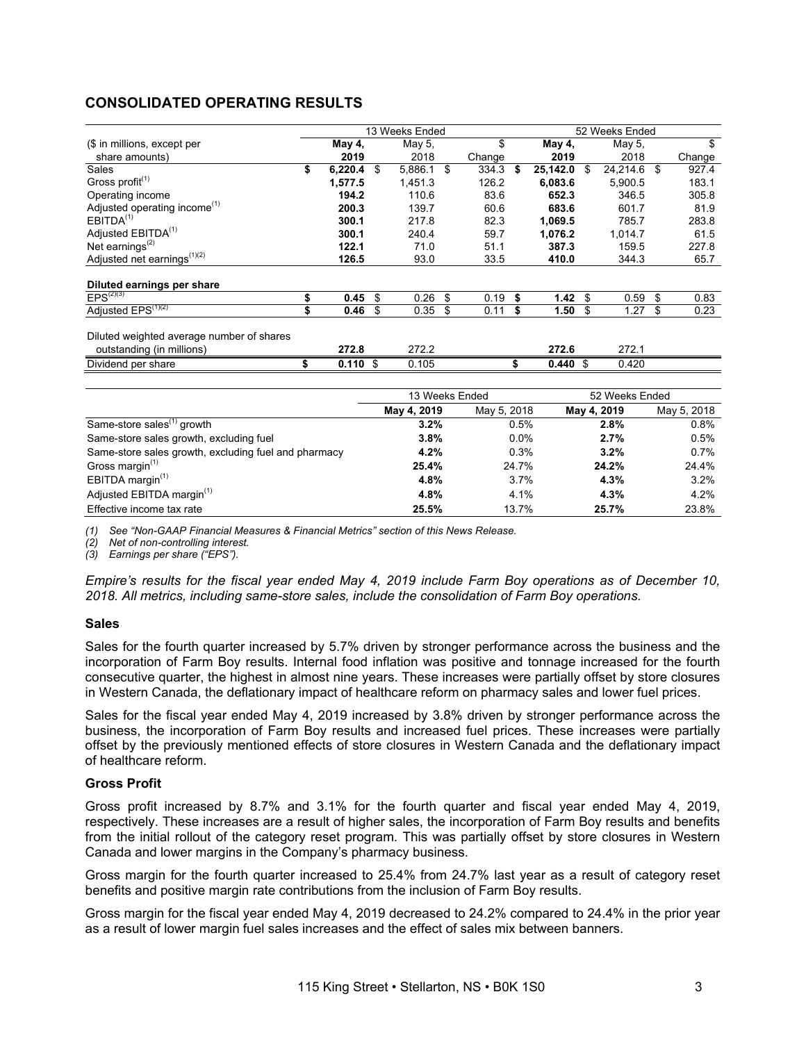# **CONSOLIDATED OPERATING RESULTS**

|                                              |               | 13 Weeks Ended     |                        |                | 52 Weeks Ended     |                        |
|----------------------------------------------|---------------|--------------------|------------------------|----------------|--------------------|------------------------|
| (\$ in millions, except per                  | May 4,        | May 5,             | \$                     | May 4,         | May 5,             | \$                     |
| share amounts)                               | 2019          | 2018               | Change                 | 2019           | 2018               | Change                 |
| Sales                                        | \$<br>6,220.4 | \$<br>5,886.1 \$   | 334.3                  | \$<br>25,142.0 | \$<br>24,214.6     | \$<br>927.4            |
| Gross profit <sup>(1)</sup>                  | 1,577.5       | 1,451.3            | 126.2                  | 6,083.6        | 5,900.5            | 183.1                  |
| Operating income                             | 194.2         | 110.6              | 83.6                   | 652.3          | 346.5              | 305.8                  |
| Adjusted operating income <sup>(1)</sup>     | 200.3         | 139.7              | 60.6                   | 683.6          | 601.7              | 81.9                   |
| EBITDA <sup>(1)</sup>                        | 300.1         | 217.8              | 82.3                   | 1,069.5        | 785.7              | 283.8                  |
| Adjusted EBITDA <sup>(1)</sup>               | 300.1         | 240.4              | 59.7                   | 1,076.2        | 1,014.7            | 61.5                   |
| Net earnings $(2)$                           | 122.1         | 71.0               | 51.1                   | 387.3          | 159.5              | 227.8                  |
| Adjusted net earnings <sup>(1)(2)</sup>      | 126.5         | 93.0               | 33.5                   | 410.0          | 344.3              | 65.7                   |
|                                              |               |                    |                        |                |                    |                        |
| Diluted earnings per share<br>$EPS^{(2)(3)}$ | \$<br>0.45    | \$<br>0.26         | \$<br>0.19             | \$<br>1.42     | \$<br>0.59         | \$<br>0.83             |
| Adjusted EPS <sup>(1)(2)</sup>               | \$<br>0.46    | \$<br>0.35         | \$<br>0.11             | \$<br>1.50     | \$<br>1.27         | \$<br>0.23             |
|                                              |               |                    |                        |                |                    |                        |
| Diluted weighted average number of shares    |               |                    |                        |                |                    |                        |
| outstanding (in millions)                    | 272.8         | 272.2              |                        | 272.6          | 272.1              |                        |
| Dividend per share                           | \$<br>0.110S  | 0.105              |                        | \$<br>0.440    | \$<br>0.420        |                        |
|                                              |               |                    | 13 Weeks Ended         |                | 52 Weeks Ended     |                        |
|                                              |               | <b>MALL 4 9040</b> | $M_{\odot}$ , $E$ 0040 |                | <b>MALL 4 9040</b> | $M_{\odot}$ , $E$ 0040 |

|                                                      | TS MEERS EIIGEG |             | <b>DZ WEEKS ENGEG</b> |             |
|------------------------------------------------------|-----------------|-------------|-----------------------|-------------|
|                                                      | May 4, 2019     | May 5, 2018 | May 4, 2019           | May 5, 2018 |
| Same-store sales <sup>(1)</sup> growth               | 3.2%            | 0.5%        | 2.8%                  | 0.8%        |
| Same-store sales growth, excluding fuel              | 3.8%            | $0.0\%$     | 2.7%                  | 0.5%        |
| Same-store sales growth, excluding fuel and pharmacy | 4.2%            | 0.3%        | 3.2%                  | 0.7%        |
| Gross margin <sup>(1)</sup>                          | 25.4%           | 24.7%       | 24.2%                 | 24.4%       |
| EBITDA margin $(1)$                                  | 4.8%            | 3.7%        | 4.3%                  | $3.2\%$     |
| Adjusted EBITDA margin <sup>(1)</sup>                | 4.8%            | 4.1%        | 4.3%                  | 4.2%        |
| Effective income tax rate                            | 25.5%           | 13.7%       | 25.7%                 | 23.8%       |

*(1) See "Non-GAAP Financial Measures & Financial Metrics" section of this News Release.* 

*(2) Net of non-controlling interest.* 

*(3) Earnings per share ("EPS").* 

*Empire's results for the fiscal year ended May 4, 2019 include Farm Boy operations as of December 10, 2018. All metrics, including same-store sales, include the consolidation of Farm Boy operations.*

#### **Sales**

Sales for the fourth quarter increased by 5.7% driven by stronger performance across the business and the incorporation of Farm Boy results. Internal food inflation was positive and tonnage increased for the fourth consecutive quarter, the highest in almost nine years. These increases were partially offset by store closures in Western Canada, the deflationary impact of healthcare reform on pharmacy sales and lower fuel prices.

Sales for the fiscal year ended May 4, 2019 increased by 3.8% driven by stronger performance across the business, the incorporation of Farm Boy results and increased fuel prices. These increases were partially offset by the previously mentioned effects of store closures in Western Canada and the deflationary impact of healthcare reform.

#### **Gross Profit**

Gross profit increased by 8.7% and 3.1% for the fourth quarter and fiscal year ended May 4, 2019, respectively. These increases are a result of higher sales, the incorporation of Farm Boy results and benefits from the initial rollout of the category reset program. This was partially offset by store closures in Western Canada and lower margins in the Company's pharmacy business.

Gross margin for the fourth quarter increased to 25.4% from 24.7% last year as a result of category reset benefits and positive margin rate contributions from the inclusion of Farm Boy results.

Gross margin for the fiscal year ended May 4, 2019 decreased to 24.2% compared to 24.4% in the prior year as a result of lower margin fuel sales increases and the effect of sales mix between banners.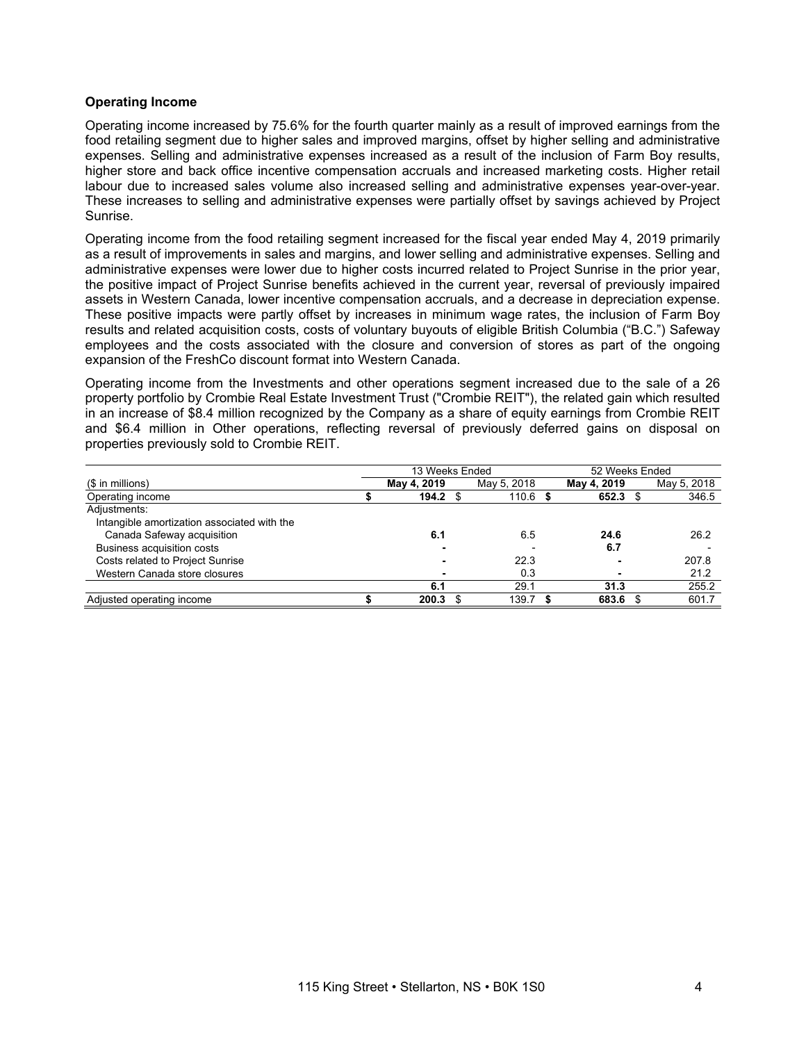## **Operating Income**

Operating income increased by 75.6% for the fourth quarter mainly as a result of improved earnings from the food retailing segment due to higher sales and improved margins, offset by higher selling and administrative expenses. Selling and administrative expenses increased as a result of the inclusion of Farm Boy results, higher store and back office incentive compensation accruals and increased marketing costs. Higher retail labour due to increased sales volume also increased selling and administrative expenses year-over-year. These increases to selling and administrative expenses were partially offset by savings achieved by Project Sunrise.

Operating income from the food retailing segment increased for the fiscal year ended May 4, 2019 primarily as a result of improvements in sales and margins, and lower selling and administrative expenses. Selling and administrative expenses were lower due to higher costs incurred related to Project Sunrise in the prior year, the positive impact of Project Sunrise benefits achieved in the current year, reversal of previously impaired assets in Western Canada, lower incentive compensation accruals, and a decrease in depreciation expense. These positive impacts were partly offset by increases in minimum wage rates, the inclusion of Farm Boy results and related acquisition costs, costs of voluntary buyouts of eligible British Columbia ("B.C.") Safeway employees and the costs associated with the closure and conversion of stores as part of the ongoing expansion of the FreshCo discount format into Western Canada.

Operating income from the Investments and other operations segment increased due to the sale of a 26 property portfolio by Crombie Real Estate Investment Trust ("Crombie REIT"), the related gain which resulted in an increase of \$8.4 million recognized by the Company as a share of equity earnings from Crombie REIT and \$6.4 million in Other operations, reflecting reversal of previously deferred gains on disposal on properties previously sold to Crombie REIT.

|                                             | 13 Weeks Ended |  | 52 Weeks Ended |             |  |             |
|---------------------------------------------|----------------|--|----------------|-------------|--|-------------|
| $$$ in millions)                            | May 4, 2019    |  | May 5, 2018    | May 4, 2019 |  | May 5, 2018 |
| Operating income                            | 194.2          |  | $110.6$ \$     | 652.3       |  | 346.5       |
| Adjustments:                                |                |  |                |             |  |             |
| Intangible amortization associated with the |                |  |                |             |  |             |
| Canada Safeway acquisition                  | 6.1            |  | 6.5            | 24.6        |  | 26.2        |
| Business acquisition costs                  |                |  |                | 6.7         |  |             |
| Costs related to Project Sunrise            |                |  | 22.3           |             |  | 207.8       |
| Western Canada store closures               |                |  | 0.3            |             |  | 21.2        |
|                                             | 6.1            |  | 29.1           | 31.3        |  | 255.2       |
| Adjusted operating income                   | 200.3          |  | 139.7          | 683.6       |  | 601.7       |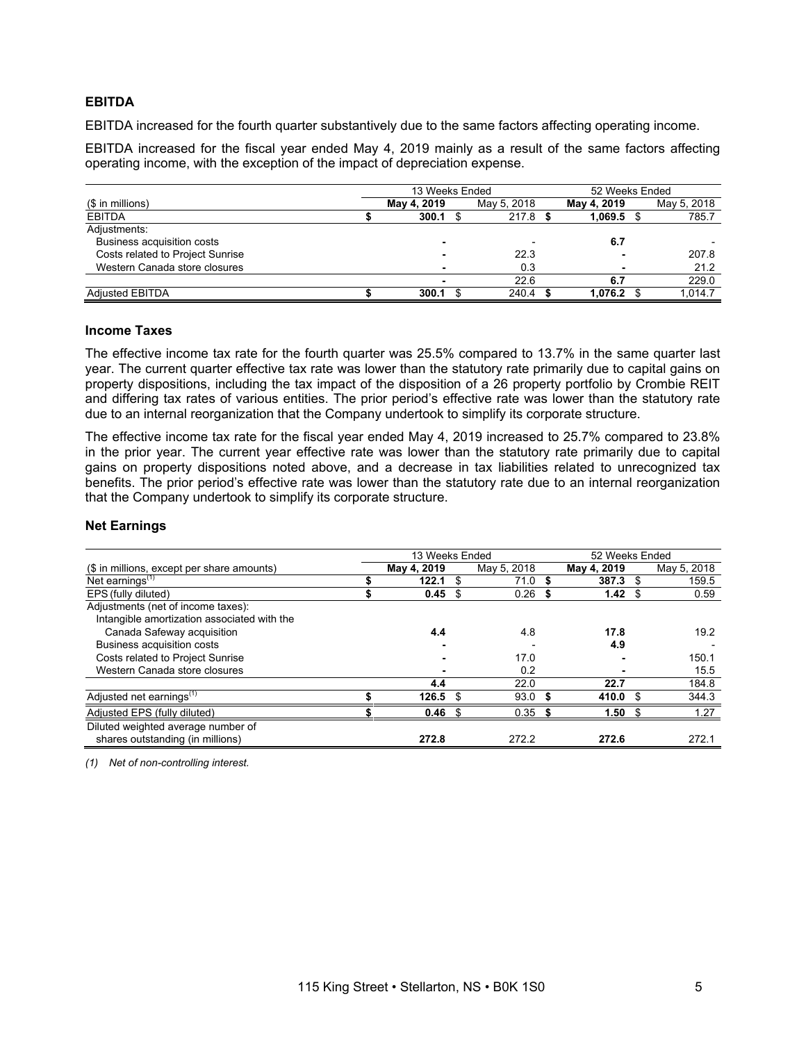## **EBITDA**

EBITDA increased for the fourth quarter substantively due to the same factors affecting operating income.

EBITDA increased for the fiscal year ended May 4, 2019 mainly as a result of the same factors affecting operating income, with the exception of the impact of depreciation expense.

|                                  |  | 13 Weeks Ended |             | 52 Weeks Ended |  |             |  |  |
|----------------------------------|--|----------------|-------------|----------------|--|-------------|--|--|
| (\$ in millions)                 |  | May 4, 2019    | May 5, 2018 | May 4, 2019    |  | May 5, 2018 |  |  |
| <b>EBITDA</b>                    |  | 300.1          | $217.8$ \$  | 1,069.5        |  | 785.7       |  |  |
| Adjustments:                     |  |                |             |                |  |             |  |  |
| Business acquisition costs       |  |                |             | 6.7            |  |             |  |  |
| Costs related to Project Sunrise |  |                | 22.3        |                |  | 207.8       |  |  |
| Western Canada store closures    |  |                | 0.3         |                |  | 21.2        |  |  |
|                                  |  |                | 22.6        | 6.7            |  | 229.0       |  |  |
| <b>Adjusted EBITDA</b>           |  | 300.1          | 240.4       | 1.076.2        |  | 1,014.7     |  |  |

#### **Income Taxes**

The effective income tax rate for the fourth quarter was 25.5% compared to 13.7% in the same quarter last year. The current quarter effective tax rate was lower than the statutory rate primarily due to capital gains on property dispositions, including the tax impact of the disposition of a 26 property portfolio by Crombie REIT and differing tax rates of various entities. The prior period's effective rate was lower than the statutory rate due to an internal reorganization that the Company undertook to simplify its corporate structure.

The effective income tax rate for the fiscal year ended May 4, 2019 increased to 25.7% compared to 23.8% in the prior year. The current year effective rate was lower than the statutory rate primarily due to capital gains on property dispositions noted above, and a decrease in tax liabilities related to unrecognized tax benefits. The prior period's effective rate was lower than the statutory rate due to an internal reorganization that the Company undertook to simplify its corporate structure.

## **Net Earnings**

|                                             | 13 Weeks Ended |     |             |     | 52 Weeks Ended |   |             |
|---------------------------------------------|----------------|-----|-------------|-----|----------------|---|-------------|
| (\$ in millions, except per share amounts)  | May 4, 2019    |     | May 5, 2018 |     | May 4, 2019    |   | May 5, 2018 |
| Net earnings $(1)$                          | 122.1          | \$  | 71.0        |     | 387.3          |   | 159.5       |
| EPS (fully diluted)                         | 0.45           | S   | 0.26        | S   | 1.42           | S | 0.59        |
| Adjustments (net of income taxes):          |                |     |             |     |                |   |             |
| Intangible amortization associated with the |                |     |             |     |                |   |             |
| Canada Safeway acquisition                  | 4.4            |     | 4.8         |     | 17.8           |   | 19.2        |
| Business acquisition costs                  |                |     |             |     | 4.9            |   |             |
| Costs related to Project Sunrise            |                |     | 17.0        |     |                |   | 150.1       |
| Western Canada store closures               |                |     | 0.2         |     |                |   | 15.5        |
|                                             | 4.4            |     | 22.0        |     | 22.7           |   | 184.8       |
| Adjusted net earnings <sup>(1)</sup>        | 126.5          | \$. | 93.0        | - 5 | 410.0          | S | 344.3       |
| Adjusted EPS (fully diluted)                | 0.46           | \$  | 0.35        |     | 1.50           |   | 1.27        |
| Diluted weighted average number of          |                |     |             |     |                |   |             |
| shares outstanding (in millions)            | 272.8          |     | 272.2       |     | 272.6          |   | 272.1       |

*(1) Net of non-controlling interest.*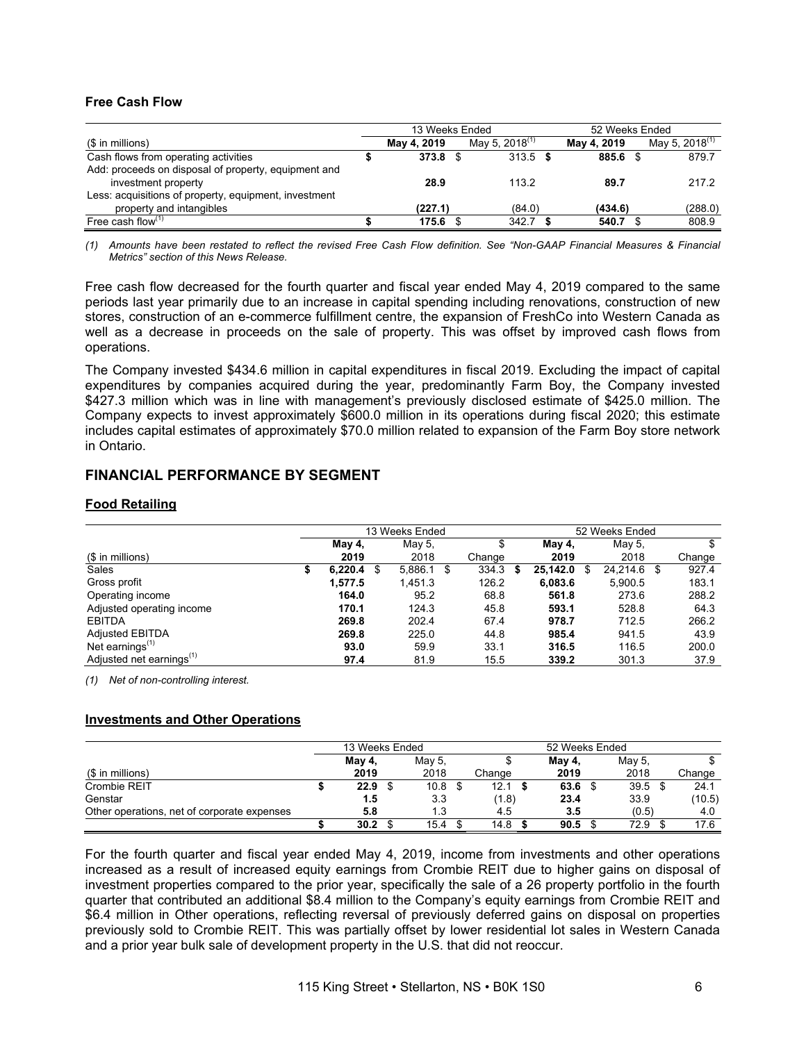## **Free Cash Flow**

|                                                       | 13 Weeks Ended     |                            | 52 Weeks Ended |  |                            |  |  |  |
|-------------------------------------------------------|--------------------|----------------------------|----------------|--|----------------------------|--|--|--|
| (\$ in millions)                                      | May 4, 2019        | May 5, 2018 <sup>(1)</sup> | May 4, 2019    |  | May 5, 2018 <sup>(1)</sup> |  |  |  |
| Cash flows from operating activities                  | 373.8 <sup>°</sup> | 313.5                      | 885.6 \$       |  | 879.7                      |  |  |  |
| Add: proceeds on disposal of property, equipment and  |                    |                            |                |  |                            |  |  |  |
| investment property                                   | 28.9               | 113.2                      | 89.7           |  | 217.2                      |  |  |  |
| Less: acquisitions of property, equipment, investment |                    |                            |                |  |                            |  |  |  |
| property and intangibles                              | (227.1)            | (84.0)                     | (434.6)        |  | (288.0)                    |  |  |  |
| Free cash flow $(1)$                                  | $175.6$ \$         | 342.7                      | 540.7          |  | 808.9                      |  |  |  |

*(1) Amounts have been restated to reflect the revised Free Cash Flow definition. See "Non-GAAP Financial Measures & Financial Metrics" section of this News Release.* 

Free cash flow decreased for the fourth quarter and fiscal year ended May 4, 2019 compared to the same periods last year primarily due to an increase in capital spending including renovations, construction of new stores, construction of an e-commerce fulfillment centre, the expansion of FreshCo into Western Canada as well as a decrease in proceeds on the sale of property. This was offset by improved cash flows from operations.

The Company invested \$434.6 million in capital expenditures in fiscal 2019. Excluding the impact of capital expenditures by companies acquired during the year, predominantly Farm Boy, the Company invested \$427.3 million which was in line with management's previously disclosed estimate of \$425.0 million. The Company expects to invest approximately \$600.0 million in its operations during fiscal 2020; this estimate includes capital estimates of approximately \$70.0 million related to expansion of the Farm Boy store network in Ontario.

## **FINANCIAL PERFORMANCE BY SEGMENT**

## **Food Retailing**

|                                      |   |         | 13 Weeks Ended |      |        |   | 52 Weeks Ended |    |          |    |        |  |
|--------------------------------------|---|---------|----------------|------|--------|---|----------------|----|----------|----|--------|--|
|                                      |   | May 4,  | May 5,         |      | ъ      |   | May 4,         |    | May 5,   |    | \$     |  |
| (\$ in millions)                     |   | 2019    | 2018           |      | Change |   | 2019           |    | 2018     |    | Change |  |
| Sales                                | S | 6.220.4 | \$<br>5.886.1  | - \$ | 334.3  | S | 25,142.0       | \$ | 24.214.6 | \$ | 927.4  |  |
| Gross profit                         |   | 1.577.5 | 1.451.3        |      | 126.2  |   | 6,083.6        |    | 5,900.5  |    | 183.1  |  |
| Operating income                     |   | 164.0   | 95.2           |      | 68.8   |   | 561.8          |    | 273.6    |    | 288.2  |  |
| Adjusted operating income            |   | 170.1   | 124.3          |      | 45.8   |   | 593.1          |    | 528.8    |    | 64.3   |  |
| <b>EBITDA</b>                        |   | 269.8   | 202.4          |      | 67.4   |   | 978.7          |    | 712.5    |    | 266.2  |  |
| <b>Adjusted EBITDA</b>               |   | 269.8   | 225.0          |      | 44.8   |   | 985.4          |    | 941.5    |    | 43.9   |  |
| Net earnings $(1)$                   |   | 93.0    | 59.9           |      | 33.1   |   | 316.5          |    | 116.5    |    | 200.0  |  |
| Adjusted net earnings <sup>(1)</sup> |   | 97.4    | 81.9           |      | 15.5   |   | 339.2          |    | 301.3    |    | 37.9   |  |

*(1) Net of non-controlling interest.* 

## **Investments and Other Operations**

|                                             | 13 Weeks Ended |        |  |        |  | 52 Weeks Ended |  |        |  |                   |  |        |
|---------------------------------------------|----------------|--------|--|--------|--|----------------|--|--------|--|-------------------|--|--------|
|                                             |                | May 4, |  | May 5, |  |                |  | May 4, |  | May 5.            |  |        |
| (\$ in millions)                            |                | 2019   |  | 2018   |  | Change         |  | 2019   |  | 2018              |  | Change |
| Crombie REIT                                |                | 22.9   |  | 10.8   |  | 12.1           |  | 63.6   |  | 39.5 <sup>5</sup> |  | 24.1   |
| Genstar                                     |                | 1.5    |  | 3.3    |  | (1.8)          |  | 23.4   |  | 33.9              |  | (10.5) |
| Other operations, net of corporate expenses |                | 5.8    |  | 1.3    |  | 4.5            |  | 3.5    |  | (0.5)             |  | 4.0    |
|                                             |                | 30.2   |  | 15.4   |  | 14.8           |  | 90.5   |  | 72.9              |  | 17.6   |

For the fourth quarter and fiscal year ended May 4, 2019, income from investments and other operations increased as a result of increased equity earnings from Crombie REIT due to higher gains on disposal of investment properties compared to the prior year, specifically the sale of a 26 property portfolio in the fourth quarter that contributed an additional \$8.4 million to the Company's equity earnings from Crombie REIT and \$6.4 million in Other operations, reflecting reversal of previously deferred gains on disposal on properties previously sold to Crombie REIT. This was partially offset by lower residential lot sales in Western Canada and a prior year bulk sale of development property in the U.S. that did not reoccur.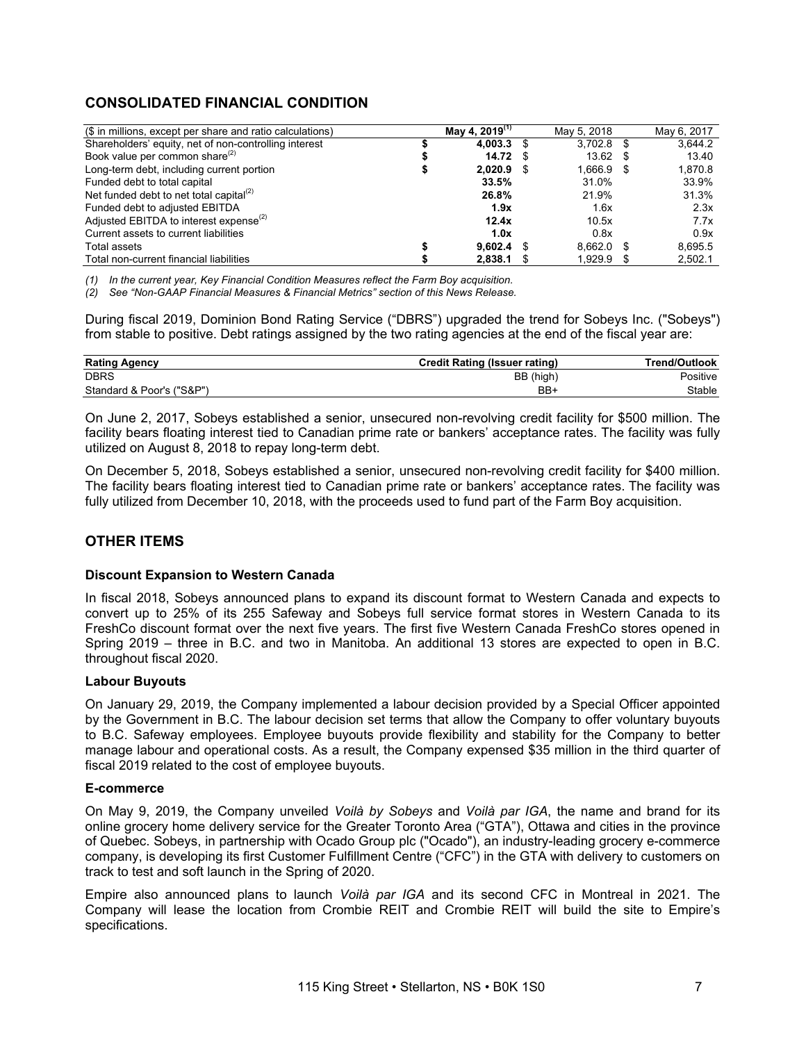# **CONSOLIDATED FINANCIAL CONDITION**

| (\$ in millions, except per share and ratio calculations) | May 4, 2019 <sup>(1)</sup> | May 5, 2018  | May 6, 2017 |
|-----------------------------------------------------------|----------------------------|--------------|-------------|
| Shareholders' equity, net of non-controlling interest     | $4.003.3$ \$               | $3.702.8$ \$ | 3.644.2     |
| Book value per common share <sup>(2)</sup>                | 14.72 S                    | $13.62$ \$   | 13.40       |
| Long-term debt, including current portion                 | 2.020.9 S                  | 1.666.9 \$   | 1,870.8     |
| Funded debt to total capital                              | 33.5%                      | 31.0%        | 33.9%       |
| Net funded debt to net total capital <sup>(2)</sup>       | 26.8%                      | 21.9%        | 31.3%       |
| Funded debt to adjusted EBITDA                            | 1.9x                       | 1.6x         | 2.3x        |
| Adjusted EBITDA to interest expense <sup>(2)</sup>        | 12.4x                      | 10.5x        | 7.7x        |
| Current assets to current liabilities                     | 1.0x                       | 0.8x         | 0.9x        |
| Total assets                                              | $9.602.4$ \$               | $8.662.0$ \$ | 8.695.5     |
| Total non-current financial liabilities                   | 2,838.1                    | 1.929.9      | 2,502.1     |

*(1) In the current year, Key Financial Condition Measures reflect the Farm Boy acquisition.* 

*(2) See "Non-GAAP Financial Measures & Financial Metrics" section of this News Release.* 

During fiscal 2019, Dominion Bond Rating Service ("DBRS") upgraded the trend for Sobeys Inc. ("Sobeys") from stable to positive. Debt ratings assigned by the two rating agencies at the end of the fiscal year are:

| <b>Rating Agency</b>      | <b>Credit Rating (Issuer rating)</b> | <b>Trend/Outlook</b> |
|---------------------------|--------------------------------------|----------------------|
| <b>DBRS</b>               | BB (high)                            | Positive             |
| Standard & Poor's ("S&P") | BB+                                  | Stable               |

On June 2, 2017, Sobeys established a senior, unsecured non-revolving credit facility for \$500 million. The facility bears floating interest tied to Canadian prime rate or bankers' acceptance rates. The facility was fully utilized on August 8, 2018 to repay long-term debt.

On December 5, 2018, Sobeys established a senior, unsecured non-revolving credit facility for \$400 million. The facility bears floating interest tied to Canadian prime rate or bankers' acceptance rates. The facility was fully utilized from December 10, 2018, with the proceeds used to fund part of the Farm Boy acquisition.

# **OTHER ITEMS**

## **Discount Expansion to Western Canada**

In fiscal 2018, Sobeys announced plans to expand its discount format to Western Canada and expects to convert up to 25% of its 255 Safeway and Sobeys full service format stores in Western Canada to its FreshCo discount format over the next five years. The first five Western Canada FreshCo stores opened in Spring 2019 – three in B.C. and two in Manitoba. An additional 13 stores are expected to open in B.C. throughout fiscal 2020.

#### **Labour Buyouts**

On January 29, 2019, the Company implemented a labour decision provided by a Special Officer appointed by the Government in B.C. The labour decision set terms that allow the Company to offer voluntary buyouts to B.C. Safeway employees. Employee buyouts provide flexibility and stability for the Company to better manage labour and operational costs. As a result, the Company expensed \$35 million in the third quarter of fiscal 2019 related to the cost of employee buyouts.

## **E-commerce**

On May 9, 2019, the Company unveiled *Voilà by Sobeys* and *Voilà par IGA*, the name and brand for its online grocery home delivery service for the Greater Toronto Area ("GTA"), Ottawa and cities in the province of Quebec. Sobeys, in partnership with Ocado Group plc ("Ocado"), an industry-leading grocery e-commerce company, is developing its first Customer Fulfillment Centre ("CFC") in the GTA with delivery to customers on track to test and soft launch in the Spring of 2020.

Empire also announced plans to launch *Voilà par IGA* and its second CFC in Montreal in 2021. The Company will lease the location from Crombie REIT and Crombie REIT will build the site to Empire's specifications.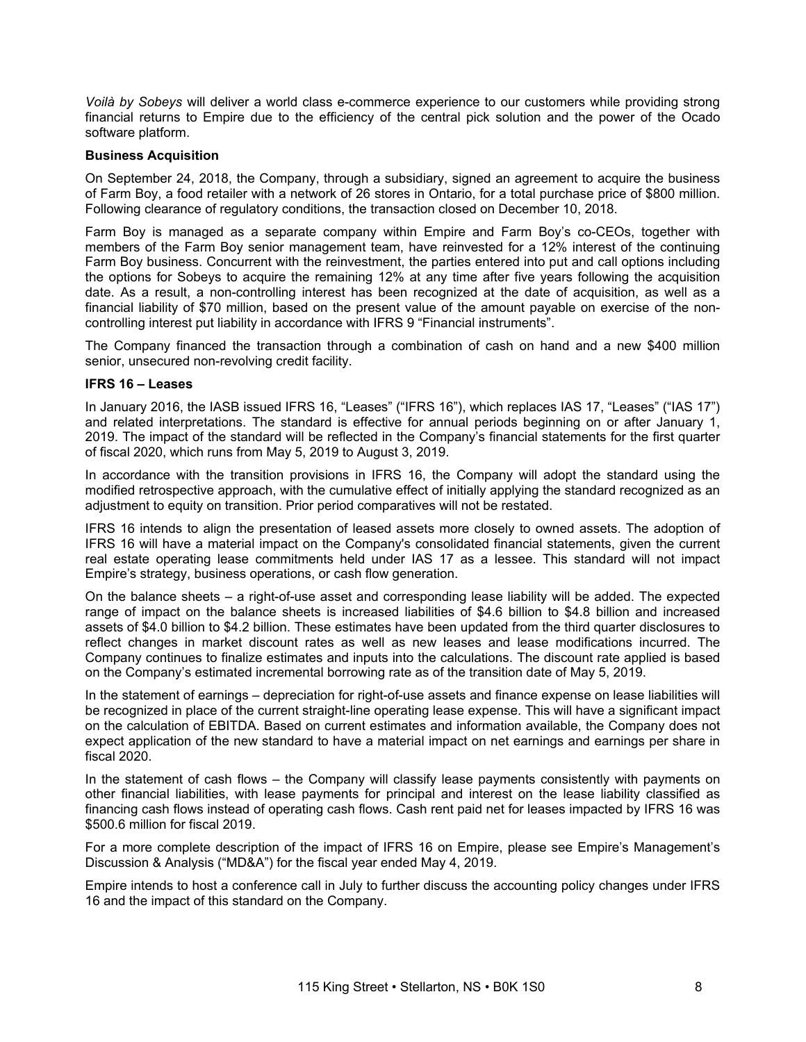*Voilà by Sobeys* will deliver a world class e-commerce experience to our customers while providing strong financial returns to Empire due to the efficiency of the central pick solution and the power of the Ocado software platform.

## **Business Acquisition**

On September 24, 2018, the Company, through a subsidiary, signed an agreement to acquire the business of Farm Boy, a food retailer with a network of 26 stores in Ontario, for a total purchase price of \$800 million. Following clearance of regulatory conditions, the transaction closed on December 10, 2018.

Farm Boy is managed as a separate company within Empire and Farm Boy's co-CEOs, together with members of the Farm Boy senior management team, have reinvested for a 12% interest of the continuing Farm Boy business. Concurrent with the reinvestment, the parties entered into put and call options including the options for Sobeys to acquire the remaining 12% at any time after five years following the acquisition date. As a result, a non-controlling interest has been recognized at the date of acquisition, as well as a financial liability of \$70 million, based on the present value of the amount payable on exercise of the noncontrolling interest put liability in accordance with IFRS 9 "Financial instruments".

The Company financed the transaction through a combination of cash on hand and a new \$400 million senior, unsecured non-revolving credit facility.

## **IFRS 16 – Leases**

In January 2016, the IASB issued IFRS 16, "Leases" ("IFRS 16"), which replaces IAS 17, "Leases" ("IAS 17") and related interpretations. The standard is effective for annual periods beginning on or after January 1, 2019. The impact of the standard will be reflected in the Company's financial statements for the first quarter of fiscal 2020, which runs from May 5, 2019 to August 3, 2019.

In accordance with the transition provisions in IFRS 16, the Company will adopt the standard using the modified retrospective approach, with the cumulative effect of initially applying the standard recognized as an adjustment to equity on transition. Prior period comparatives will not be restated.

IFRS 16 intends to align the presentation of leased assets more closely to owned assets. The adoption of IFRS 16 will have a material impact on the Company's consolidated financial statements, given the current real estate operating lease commitments held under IAS 17 as a lessee. This standard will not impact Empire's strategy, business operations, or cash flow generation.

On the balance sheets – a right-of-use asset and corresponding lease liability will be added. The expected range of impact on the balance sheets is increased liabilities of \$4.6 billion to \$4.8 billion and increased assets of \$4.0 billion to \$4.2 billion. These estimates have been updated from the third quarter disclosures to reflect changes in market discount rates as well as new leases and lease modifications incurred. The Company continues to finalize estimates and inputs into the calculations. The discount rate applied is based on the Company's estimated incremental borrowing rate as of the transition date of May 5, 2019.

In the statement of earnings – depreciation for right-of-use assets and finance expense on lease liabilities will be recognized in place of the current straight-line operating lease expense. This will have a significant impact on the calculation of EBITDA. Based on current estimates and information available, the Company does not expect application of the new standard to have a material impact on net earnings and earnings per share in fiscal 2020.

In the statement of cash flows – the Company will classify lease payments consistently with payments on other financial liabilities, with lease payments for principal and interest on the lease liability classified as financing cash flows instead of operating cash flows. Cash rent paid net for leases impacted by IFRS 16 was \$500.6 million for fiscal 2019.

For a more complete description of the impact of IFRS 16 on Empire, please see Empire's Management's Discussion & Analysis ("MD&A") for the fiscal year ended May 4, 2019.

Empire intends to host a conference call in July to further discuss the accounting policy changes under IFRS 16 and the impact of this standard on the Company.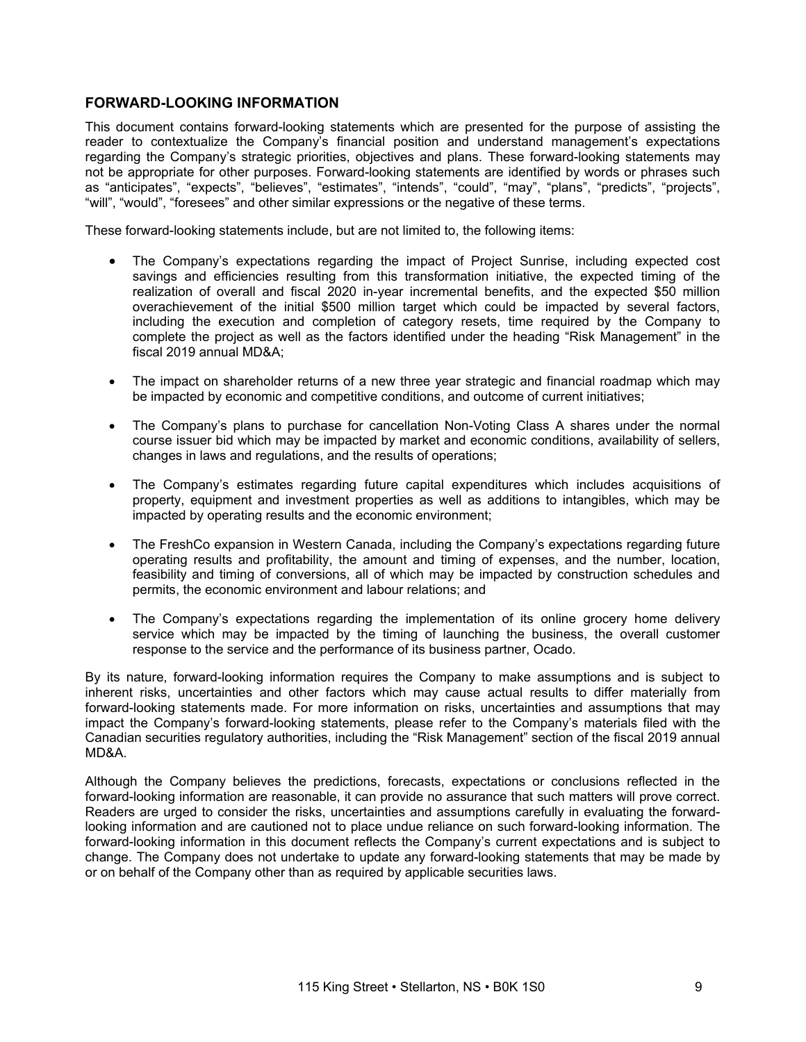## **FORWARD-LOOKING INFORMATION**

This document contains forward-looking statements which are presented for the purpose of assisting the reader to contextualize the Company's financial position and understand management's expectations regarding the Company's strategic priorities, objectives and plans. These forward-looking statements may not be appropriate for other purposes. Forward-looking statements are identified by words or phrases such as "anticipates", "expects", "believes", "estimates", "intends", "could", "may", "plans", "predicts", "projects", "will", "would", "foresees" and other similar expressions or the negative of these terms.

These forward-looking statements include, but are not limited to, the following items:

- The Company's expectations regarding the impact of Project Sunrise, including expected cost savings and efficiencies resulting from this transformation initiative, the expected timing of the realization of overall and fiscal 2020 in-year incremental benefits, and the expected \$50 million overachievement of the initial \$500 million target which could be impacted by several factors, including the execution and completion of category resets, time required by the Company to complete the project as well as the factors identified under the heading "Risk Management" in the fiscal 2019 annual MD&A;
- The impact on shareholder returns of a new three year strategic and financial roadmap which may be impacted by economic and competitive conditions, and outcome of current initiatives;
- The Company's plans to purchase for cancellation Non-Voting Class A shares under the normal course issuer bid which may be impacted by market and economic conditions, availability of sellers, changes in laws and regulations, and the results of operations;
- The Company's estimates regarding future capital expenditures which includes acquisitions of property, equipment and investment properties as well as additions to intangibles, which may be impacted by operating results and the economic environment;
- The FreshCo expansion in Western Canada, including the Company's expectations regarding future operating results and profitability, the amount and timing of expenses, and the number, location, feasibility and timing of conversions, all of which may be impacted by construction schedules and permits, the economic environment and labour relations; and
- The Company's expectations regarding the implementation of its online grocery home delivery service which may be impacted by the timing of launching the business, the overall customer response to the service and the performance of its business partner, Ocado.

By its nature, forward-looking information requires the Company to make assumptions and is subject to inherent risks, uncertainties and other factors which may cause actual results to differ materially from forward-looking statements made. For more information on risks, uncertainties and assumptions that may impact the Company's forward-looking statements, please refer to the Company's materials filed with the Canadian securities regulatory authorities, including the "Risk Management" section of the fiscal 2019 annual MD&A.

Although the Company believes the predictions, forecasts, expectations or conclusions reflected in the forward-looking information are reasonable, it can provide no assurance that such matters will prove correct. Readers are urged to consider the risks, uncertainties and assumptions carefully in evaluating the forwardlooking information and are cautioned not to place undue reliance on such forward-looking information. The forward-looking information in this document reflects the Company's current expectations and is subject to change. The Company does not undertake to update any forward-looking statements that may be made by or on behalf of the Company other than as required by applicable securities laws.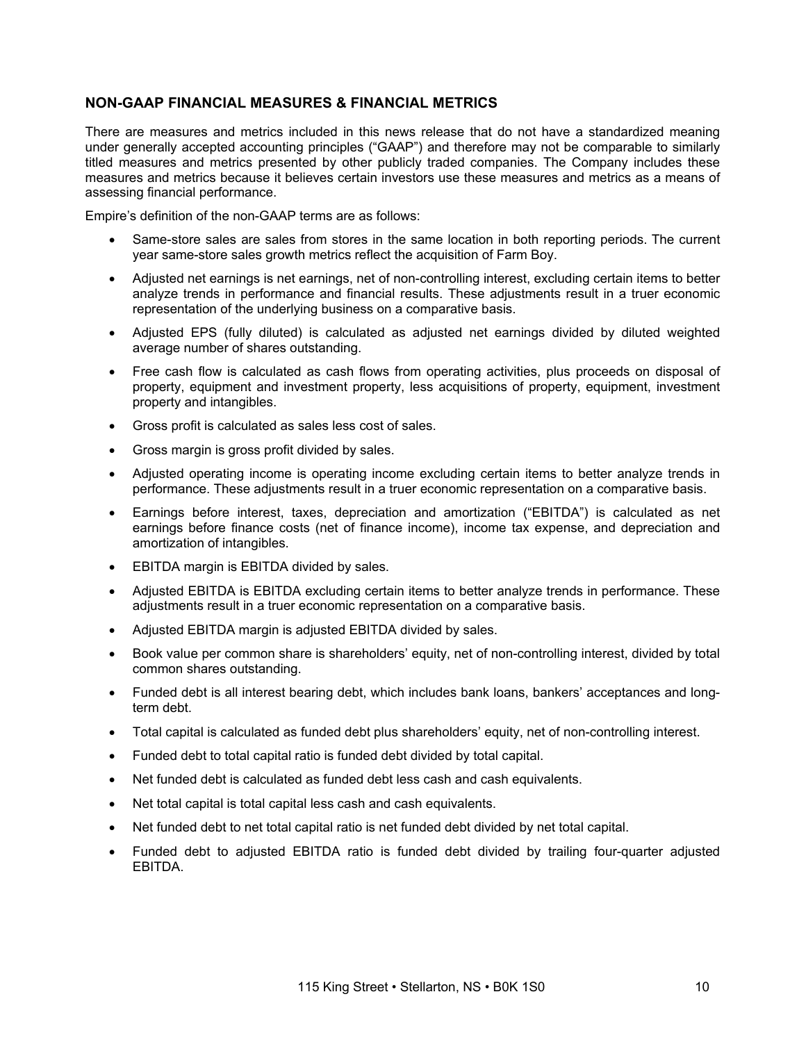## **NON-GAAP FINANCIAL MEASURES & FINANCIAL METRICS**

There are measures and metrics included in this news release that do not have a standardized meaning under generally accepted accounting principles ("GAAP") and therefore may not be comparable to similarly titled measures and metrics presented by other publicly traded companies. The Company includes these measures and metrics because it believes certain investors use these measures and metrics as a means of assessing financial performance.

Empire's definition of the non-GAAP terms are as follows:

- Same-store sales are sales from stores in the same location in both reporting periods. The current year same-store sales growth metrics reflect the acquisition of Farm Boy.
- Adjusted net earnings is net earnings, net of non-controlling interest, excluding certain items to better analyze trends in performance and financial results. These adjustments result in a truer economic representation of the underlying business on a comparative basis.
- Adjusted EPS (fully diluted) is calculated as adjusted net earnings divided by diluted weighted average number of shares outstanding.
- Free cash flow is calculated as cash flows from operating activities, plus proceeds on disposal of property, equipment and investment property, less acquisitions of property, equipment, investment property and intangibles.
- Gross profit is calculated as sales less cost of sales.
- Gross margin is gross profit divided by sales.
- Adjusted operating income is operating income excluding certain items to better analyze trends in performance. These adjustments result in a truer economic representation on a comparative basis.
- Earnings before interest, taxes, depreciation and amortization ("EBITDA") is calculated as net earnings before finance costs (net of finance income), income tax expense, and depreciation and amortization of intangibles.
- EBITDA margin is EBITDA divided by sales.
- Adjusted EBITDA is EBITDA excluding certain items to better analyze trends in performance. These adjustments result in a truer economic representation on a comparative basis.
- Adjusted EBITDA margin is adjusted EBITDA divided by sales.
- Book value per common share is shareholders' equity, net of non-controlling interest, divided by total common shares outstanding.
- Funded debt is all interest bearing debt, which includes bank loans, bankers' acceptances and longterm debt.
- Total capital is calculated as funded debt plus shareholders' equity, net of non-controlling interest.
- Funded debt to total capital ratio is funded debt divided by total capital.
- Net funded debt is calculated as funded debt less cash and cash equivalents.
- Net total capital is total capital less cash and cash equivalents.
- Net funded debt to net total capital ratio is net funded debt divided by net total capital.
- Funded debt to adjusted EBITDA ratio is funded debt divided by trailing four-quarter adjusted EBITDA.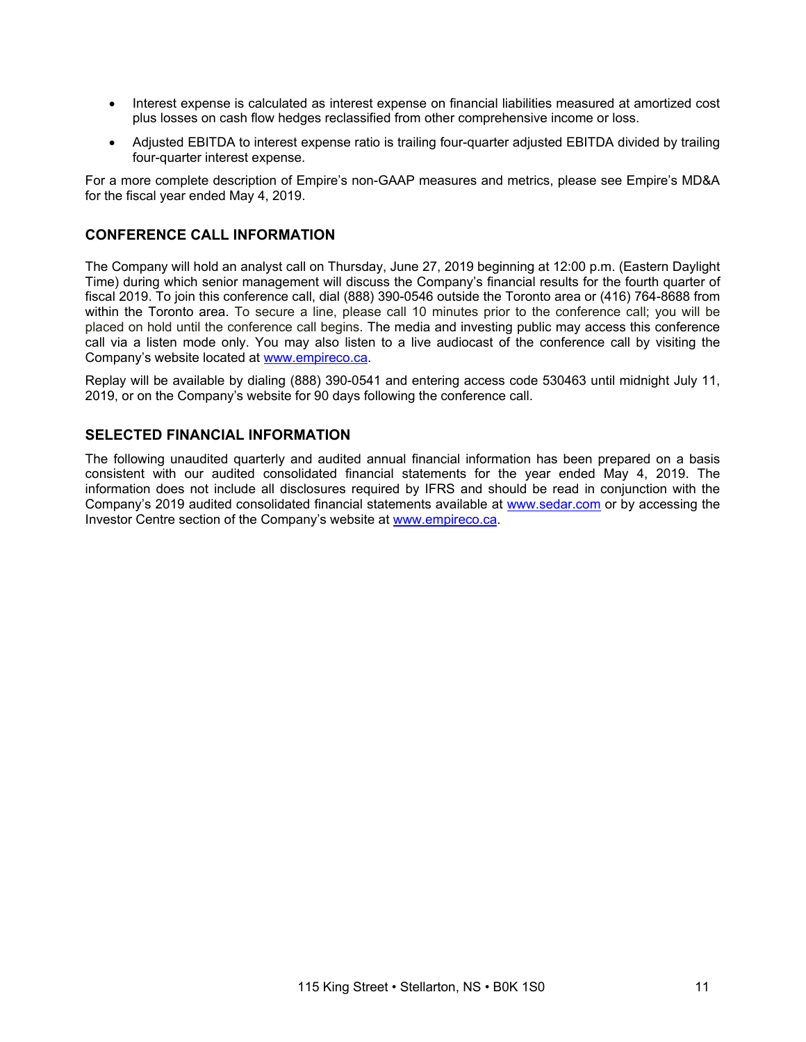- Interest expense is calculated as interest expense on financial liabilities measured at amortized cost plus losses on cash flow hedges reclassified from other comprehensive income or loss.
- Adjusted EBITDA to interest expense ratio is trailing four-quarter adjusted EBITDA divided by trailing four-quarter interest expense.

For a more complete description of Empire's non-GAAP measures and metrics, please see Empire's MD&A for the fiscal year ended May 4, 2019.

## **CONFERENCE CALL INFORMATION**

The Company will hold an analyst call on Thursday, June 27, 2019 beginning at 12:00 p.m. (Eastern Daylight Time) during which senior management will discuss the Company's financial results for the fourth quarter of fiscal 2019. To join this conference call, dial (888) 390-0546 outside the Toronto area or (416) 764-8688 from within the Toronto area. To secure a line, please call 10 minutes prior to the conference call; you will be placed on hold until the conference call begins. The media and investing public may access this conference call via a listen mode only. You may also listen to a live audiocast of the conference call by visiting the Company's website located at www.empireco.ca.

Replay will be available by dialing (888) 390-0541 and entering access code 530463 until midnight July 11, 2019, or on the Company's website for 90 days following the conference call.

## **SELECTED FINANCIAL INFORMATION**

The following unaudited quarterly and audited annual financial information has been prepared on a basis consistent with our audited consolidated financial statements for the year ended May 4, 2019. The information does not include all disclosures required by IFRS and should be read in conjunction with the Company's 2019 audited consolidated financial statements available at www.sedar.com or by accessing the Investor Centre section of the Company's website at www.empireco.ca.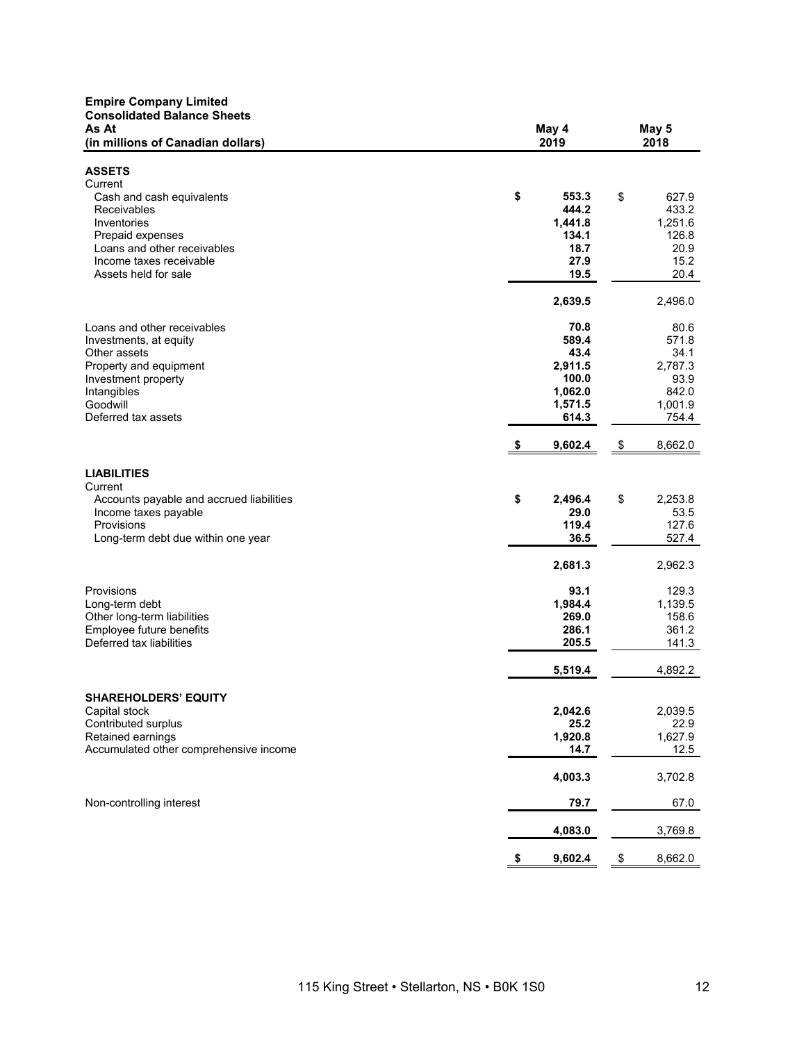| <b>Empire Company Limited</b><br><b>Consolidated Balance Sheets</b><br>As At | May 4            | May 5           |
|------------------------------------------------------------------------------|------------------|-----------------|
| (in millions of Canadian dollars)                                            | 2019             | 2018            |
| <b>ASSETS</b>                                                                |                  |                 |
| Current                                                                      |                  |                 |
| Cash and cash equivalents                                                    | \$<br>553.3      | \$<br>627.9     |
| Receivables                                                                  | 444.2            | 433.2           |
| Inventories                                                                  | 1,441.8          | 1,251.6         |
| Prepaid expenses                                                             | 134.1            | 126.8           |
| Loans and other receivables                                                  | 18.7             | 20.9            |
| Income taxes receivable                                                      | 27.9             | 15.2            |
| Assets held for sale                                                         | 19.5             | 20.4            |
|                                                                              | 2,639.5          | 2,496.0         |
| Loans and other receivables                                                  | 70.8             | 80.6            |
| Investments, at equity                                                       | 589.4            | 571.8           |
| Other assets                                                                 | 43.4             | 34.1<br>2,787.3 |
| Property and equipment<br>Investment property                                | 2,911.5<br>100.0 | 93.9            |
| Intangibles                                                                  | 1,062.0          | 842.0           |
| Goodwill                                                                     | 1,571.5          | 1,001.9         |
| Deferred tax assets                                                          | 614.3            | 754.4           |
|                                                                              | 9,602.4<br>\$    | \$<br>8,662.0   |
| <b>LIABILITIES</b>                                                           |                  |                 |
| Current                                                                      |                  |                 |
| Accounts payable and accrued liabilities                                     | \$<br>2,496.4    | \$<br>2,253.8   |
| Income taxes payable                                                         | 29.0             | 53.5            |
| Provisions                                                                   | 119.4            | 127.6           |
| Long-term debt due within one year                                           | 36.5             | 527.4           |
|                                                                              | 2,681.3          | 2,962.3         |
| Provisions                                                                   | 93.1             | 129.3           |
| Long-term debt                                                               | 1,984.4          | 1,139.5         |
| Other long-term liabilities                                                  | 269.0            | 158.6           |
| Employee future benefits                                                     | 286.1            | 361.2           |
| Deferred tax liabilities                                                     | 205.5            | 141.3           |
|                                                                              | 5,519.4          | 4,892.2         |
| <b>SHAREHOLDERS' EQUITY</b>                                                  |                  |                 |
| Capital stock                                                                | 2,042.6          | 2,039.5         |
| Contributed surplus                                                          | 25.2             | 22.9            |
| Retained earnings                                                            | 1,920.8          | 1,627.9         |
| Accumulated other comprehensive income                                       | 14.7             | 12.5            |
|                                                                              | 4,003.3          | 3,702.8         |
| Non-controlling interest                                                     | 79.7             | 67.0            |
|                                                                              | 4,083.0          | 3,769.8         |
|                                                                              | \$<br>9,602.4    | \$<br>8,662.0   |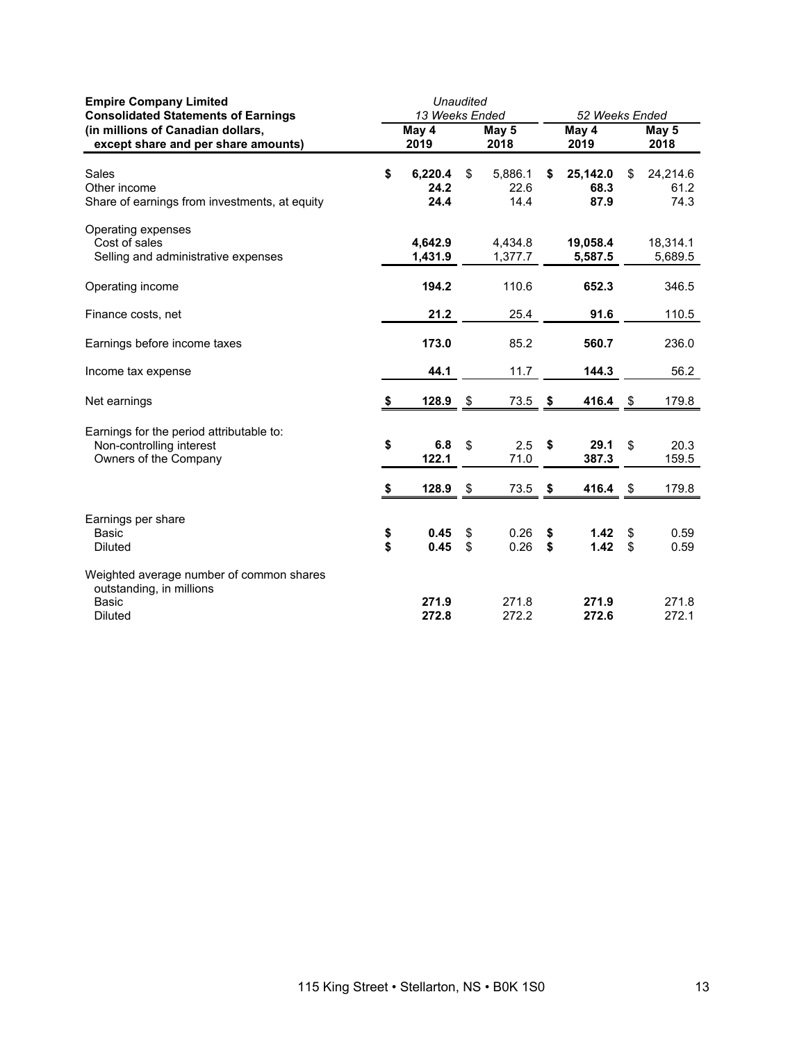| <b>Empire Company Limited</b><br><b>Consolidated Statements of Earnings</b>                     |          | Unaudited<br>13 Weeks Ended |          |                         |          | 52 Weeks Ended           |          |                          |  |  |  |
|-------------------------------------------------------------------------------------------------|----------|-----------------------------|----------|-------------------------|----------|--------------------------|----------|--------------------------|--|--|--|
| (in millions of Canadian dollars,<br>except share and per share amounts)                        |          | May 4<br>2019               |          | May 5<br>2018           |          | May 4<br>2019            |          | May 5<br>2018            |  |  |  |
| Sales<br>Other income<br>Share of earnings from investments, at equity                          | \$       | 6,220.4<br>24.2<br>24.4     | \$       | 5,886.1<br>22.6<br>14.4 | \$       | 25,142.0<br>68.3<br>87.9 | \$       | 24,214.6<br>61.2<br>74.3 |  |  |  |
| Operating expenses<br>Cost of sales<br>Selling and administrative expenses                      |          | 4,642.9<br>1,431.9          |          | 4,434.8<br>1,377.7      |          | 19,058.4<br>5,587.5      |          | 18,314.1<br>5,689.5      |  |  |  |
| Operating income                                                                                |          | 194.2                       |          | 110.6                   |          | 652.3                    |          | 346.5                    |  |  |  |
| Finance costs, net                                                                              |          | 21.2                        |          | 25.4                    |          | 91.6                     |          | 110.5                    |  |  |  |
| Earnings before income taxes                                                                    |          | 173.0                       |          | 85.2                    |          | 560.7                    |          | 236.0                    |  |  |  |
| Income tax expense                                                                              |          | 44.1                        |          | 11.7                    |          | 144.3                    |          | 56.2                     |  |  |  |
| Net earnings                                                                                    | S        | 128.9                       | \$       | 73.5                    | \$       | 416.4                    | \$       | 179.8                    |  |  |  |
| Earnings for the period attributable to:<br>Non-controlling interest<br>Owners of the Company   | \$       | 6.8<br>122.1                | \$       | 2.5<br>71.0             | S        | 29.1<br>387.3            | \$       | 20.3<br>159.5            |  |  |  |
|                                                                                                 | \$       | 128.9                       | \$       | 73.5                    | \$       | 416.4                    | \$       | 179.8                    |  |  |  |
| Earnings per share<br><b>Basic</b><br><b>Diluted</b>                                            | \$<br>\$ | 0.45<br>0.45                | \$<br>\$ | 0.26<br>0.26            | \$<br>\$ | 1.42<br>1.42             | \$<br>\$ | 0.59<br>0.59             |  |  |  |
| Weighted average number of common shares<br>outstanding, in millions<br>Basic<br><b>Diluted</b> |          | 271.9<br>272.8              |          | 271.8<br>272.2          |          | 271.9<br>272.6           |          | 271.8<br>272.1           |  |  |  |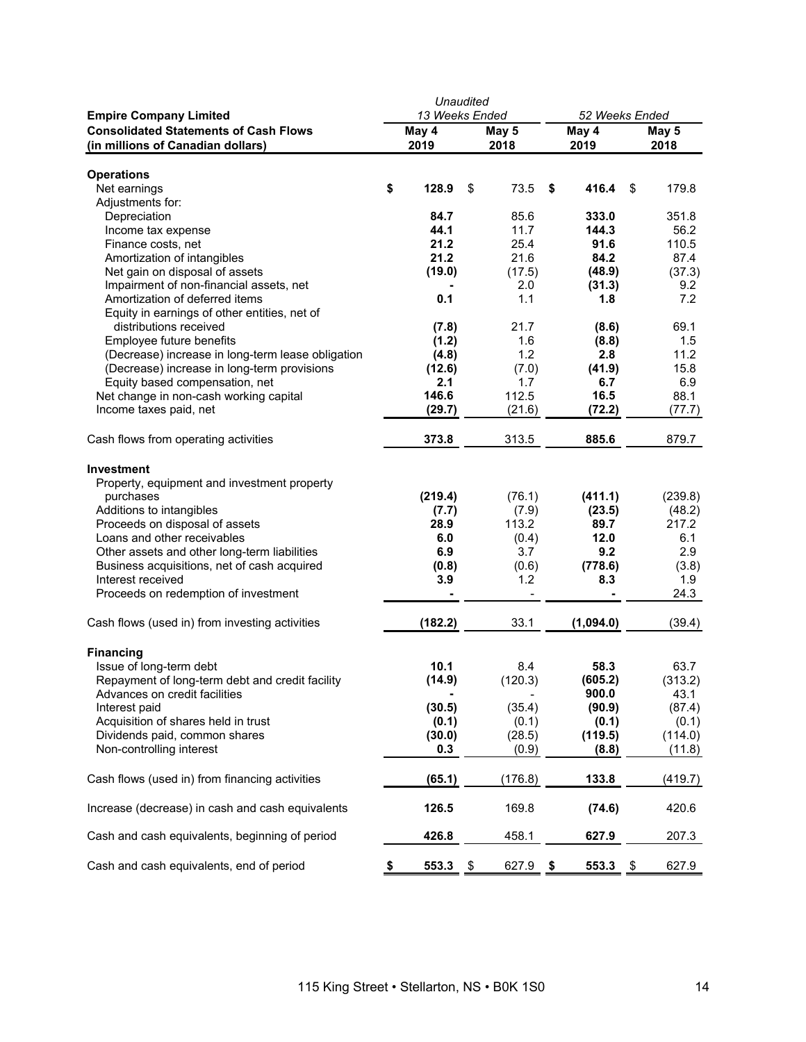|                                                                               | Unaudited                       |         |     |               |    |                                 |      |               |  |
|-------------------------------------------------------------------------------|---------------------------------|---------|-----|---------------|----|---------------------------------|------|---------------|--|
| <b>Empire Company Limited</b><br><b>Consolidated Statements of Cash Flows</b> | 13 Weeks Ended<br>May 4<br>2019 |         |     |               |    | 52 Weeks Ended<br>May 4<br>2019 |      |               |  |
| (in millions of Canadian dollars)                                             |                                 |         |     | May 5<br>2018 |    |                                 |      | May 5<br>2018 |  |
|                                                                               |                                 |         |     |               |    |                                 |      |               |  |
| <b>Operations</b>                                                             |                                 |         |     |               |    |                                 |      |               |  |
| Net earnings                                                                  | \$                              | 128.9   | \$  | 73.5          | \$ | 416.4                           | \$   | 179.8         |  |
| Adjustments for:                                                              |                                 |         |     |               |    |                                 |      |               |  |
| Depreciation                                                                  |                                 | 84.7    |     | 85.6          |    | 333.0                           |      | 351.8         |  |
| Income tax expense                                                            |                                 | 44.1    |     | 11.7          |    | 144.3                           |      | 56.2          |  |
| Finance costs, net                                                            |                                 | 21.2    |     | 25.4          |    | 91.6                            |      | 110.5         |  |
| Amortization of intangibles                                                   |                                 | 21.2    |     | 21.6          |    | 84.2                            |      | 87.4          |  |
| Net gain on disposal of assets                                                |                                 | (19.0)  |     | (17.5)        |    | (48.9)                          |      | (37.3)        |  |
| Impairment of non-financial assets, net                                       |                                 |         |     | 2.0           |    | (31.3)                          |      | 9.2           |  |
| Amortization of deferred items                                                |                                 | 0.1     |     | 1.1           |    | 1.8                             |      | 7.2           |  |
| Equity in earnings of other entities, net of                                  |                                 |         |     |               |    |                                 |      |               |  |
| distributions received                                                        |                                 | (7.8)   |     | 21.7          |    | (8.6)                           |      | 69.1          |  |
| Employee future benefits                                                      |                                 | (1.2)   |     | 1.6           |    | (8.8)                           |      | 1.5           |  |
| (Decrease) increase in long-term lease obligation                             |                                 | (4.8)   |     | 1.2           |    | 2.8                             |      | 11.2          |  |
| (Decrease) increase in long-term provisions                                   |                                 | (12.6)  |     | (7.0)         |    | (41.9)                          |      | 15.8          |  |
| Equity based compensation, net                                                |                                 | 2.1     |     | 1.7           |    | 6.7                             |      | 6.9           |  |
| Net change in non-cash working capital                                        |                                 | 146.6   |     | 112.5         |    | 16.5                            |      | 88.1          |  |
| Income taxes paid, net                                                        |                                 | (29.7)  |     | (21.6)        |    | (72.2)                          |      | (77.7)        |  |
| Cash flows from operating activities                                          |                                 | 373.8   |     | 313.5         |    | 885.6                           |      | 879.7         |  |
|                                                                               |                                 |         |     |               |    |                                 |      |               |  |
| <b>Investment</b>                                                             |                                 |         |     |               |    |                                 |      |               |  |
| Property, equipment and investment property                                   |                                 |         |     |               |    |                                 |      |               |  |
| purchases                                                                     |                                 | (219.4) |     | (76.1)        |    | (411.1)                         |      | (239.8)       |  |
| Additions to intangibles                                                      |                                 | (7.7)   |     | (7.9)         |    | (23.5)                          |      | (48.2)        |  |
| Proceeds on disposal of assets                                                |                                 | 28.9    |     | 113.2         |    | 89.7                            |      | 217.2         |  |
| Loans and other receivables                                                   |                                 | 6.0     |     | (0.4)         |    | 12.0                            |      | 6.1           |  |
| Other assets and other long-term liabilities                                  |                                 | 6.9     |     | 3.7           |    | 9.2                             |      | 2.9           |  |
| Business acquisitions, net of cash acquired                                   |                                 | (0.8)   |     | (0.6)         |    | (778.6)                         |      | (3.8)         |  |
| Interest received                                                             |                                 | 3.9     |     | 1.2           |    | 8.3                             |      | 1.9           |  |
| Proceeds on redemption of investment                                          |                                 |         |     |               |    |                                 |      | 24.3          |  |
| Cash flows (used in) from investing activities                                |                                 | (182.2) |     | 33.1          |    | (1,094.0)                       |      | (39.4)        |  |
|                                                                               |                                 |         |     |               |    |                                 |      |               |  |
| <b>Financing</b>                                                              |                                 |         |     |               |    |                                 |      |               |  |
| Issue of long-term debt                                                       |                                 | 10.1    |     | 8.4           |    | 58.3                            |      | 63.7          |  |
| Repayment of long-term debt and credit facility                               |                                 | (14.9)  |     | (120.3)       |    | (605.2)                         |      | (313.2)       |  |
| Advances on credit facilities                                                 |                                 |         |     |               |    | 900.0                           |      | 43.1          |  |
| Interest paid                                                                 |                                 | (30.5)  |     | (35.4)        |    | (90.9)                          |      | (87.4)        |  |
| Acquisition of shares held in trust                                           |                                 | (0.1)   |     | (0.1)         |    | (0.1)                           |      | (0.1)         |  |
| Dividends paid, common shares                                                 |                                 | (30.0)  |     | (28.5)        |    | (119.5)                         |      | (114.0)       |  |
| Non-controlling interest                                                      |                                 | 0.3     |     | (0.9)         |    | (8.8)                           |      | (11.8)        |  |
| Cash flows (used in) from financing activities                                |                                 | (65.1)  |     | (176.8)       |    | 133.8                           |      | (419.7)       |  |
| Increase (decrease) in cash and cash equivalents                              |                                 | 126.5   |     | 169.8         |    | (74.6)                          |      | 420.6         |  |
| Cash and cash equivalents, beginning of period                                |                                 | 426.8   |     | 458.1         |    | 627.9                           |      | 207.3         |  |
| Cash and cash equivalents, end of period                                      | \$                              | 553.3   | -\$ | 627.9 \$      |    | 553.3                           | - \$ | 627.9         |  |